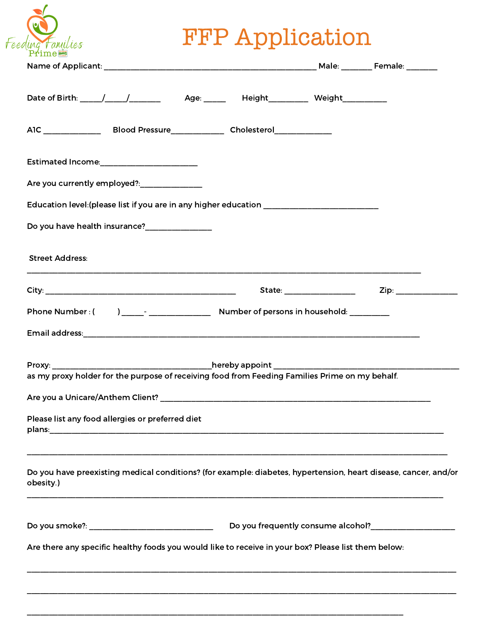## FFP Application

| Are you currently employed?: _____________                                                                                   |  |                                                                                                                                                                     |  |
|------------------------------------------------------------------------------------------------------------------------------|--|---------------------------------------------------------------------------------------------------------------------------------------------------------------------|--|
| Education level: (please list if you are in any higher education ______________________                                      |  |                                                                                                                                                                     |  |
|                                                                                                                              |  |                                                                                                                                                                     |  |
| <b>Street Address:</b>                                                                                                       |  | ,我们也不能在这里的时候,我们也不能会在这里,我们也不能会在这里,我们也不能会在这里,我们也不能会在这里的时候,我们也不能会在这里,我们也不能会不能会不能会。<br>第2012章 我们的时候,我们的时候,我们的时候,我们的时候,我们的时候,我们的时候,我们的时候,我们的时候,我们的时候,我们的时候,我们的时候,我们的时候,我 |  |
|                                                                                                                              |  |                                                                                                                                                                     |  |
|                                                                                                                              |  |                                                                                                                                                                     |  |
|                                                                                                                              |  |                                                                                                                                                                     |  |
| Proxy: hereby appoint                                                                                                        |  |                                                                                                                                                                     |  |
| as my proxy holder for the purpose of receiving food from Feeding Families Prime on my behalf.                               |  |                                                                                                                                                                     |  |
|                                                                                                                              |  |                                                                                                                                                                     |  |
| Please list any food allergies or preferred diet                                                                             |  |                                                                                                                                                                     |  |
| Do you have preexisting medical conditions? (for example: diabetes, hypertension, heart disease, cancer, and/or<br>obesity.) |  |                                                                                                                                                                     |  |
|                                                                                                                              |  |                                                                                                                                                                     |  |
| Are there any specific healthy foods you would like to receive in your box? Please list them below:                          |  |                                                                                                                                                                     |  |
|                                                                                                                              |  |                                                                                                                                                                     |  |

\_\_\_\_\_\_\_\_\_\_\_\_\_\_\_\_\_\_\_\_\_\_\_\_\_\_\_\_\_\_\_\_\_\_\_\_\_\_\_\_\_\_\_\_\_\_\_\_\_\_\_\_\_\_\_\_\_\_\_\_\_\_\_\_\_\_\_\_\_\_\_\_\_\_\_\_\_\_\_\_\_\_\_\_\_